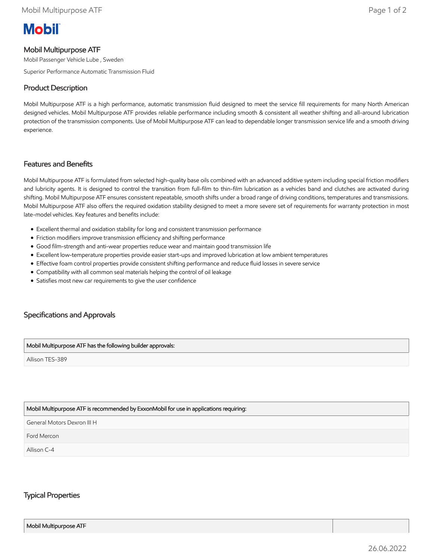# **Mobil**

# Mobil Multipurpose ATF

Mobil Passenger Vehicle Lube , Sweden

Superior Performance Automatic Transmission Fluid

## Product Description

Mobil Multipurpose ATF is a high performance, automatic transmission fluid designed to meet the service fill requirements for many North American designed vehicles. Mobil Multipurpose ATF provides reliable performance including smooth & consistent all weather shifting and all-around lubrication protection of the transmission components. Use of Mobil Multipurpose ATF can lead to dependable longer transmission service life and a smooth driving experience.

## Features and Benefits

Mobil Multipurpose ATF is formulated from selected high-quality base oils combined with an advanced additive system including special friction modifiers and lubricity agents. It is designed to control the transition from full-film to thin-film lubrication as a vehicles band and clutches are activated during shifting. Mobil Multipurpose ATF ensures consistent repeatable, smooth shifts under a broad range of driving conditions, temperatures and transmissions. Mobil Multipurpose ATF also offers the required oxidation stability designed to meet a more severe set of requirements for warranty protection in most late-model vehicles. Key features and benefits include:

- Excellent thermal and oxidation stability for long and consistent transmission performance
- Friction modifiers improve transmission efficiency and shifting performance
- Good film-strength and anti-wear properties reduce wear and maintain good transmission life
- Excellent low-temperature properties provide easier start-ups and improved lubrication at low ambient temperatures
- Effective foam control properties provide consistent shifting performance and reduce fluid losses in severe service
- Compatibility with all common seal materials helping the control of oil leakage
- Satisfies most new car requirements to give the user confidence

# Specifications and Approvals

#### Mobil Multipurpose ATF has the following builder approvals:

Allison TES-389

#### Mobil Multipurpose ATF is recommended by ExxonMobil for use in applications requiring:

General Motors Dexron III H

Ford Mercon

Allison C-4

## Typical Properties